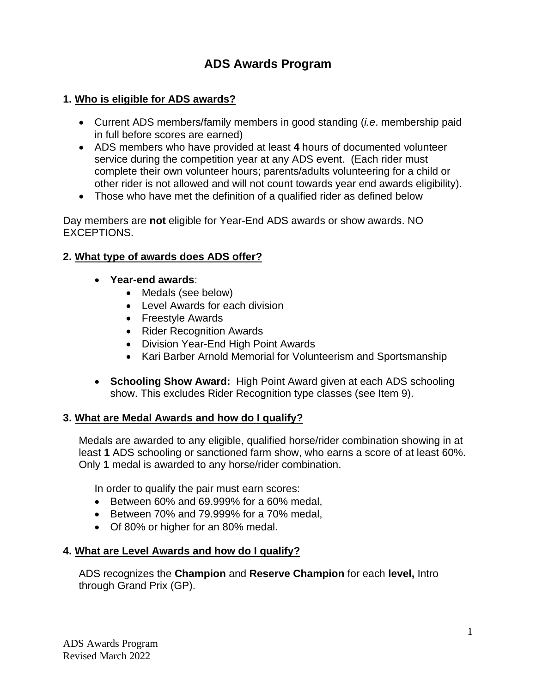# **ADS Awards Program**

#### **1. Who is eligible for ADS awards?**

- Current ADS members/family members in good standing (*i.e*. membership paid in full before scores are earned)
- ADS members who have provided at least **4** hours of documented volunteer service during the competition year at any ADS event. (Each rider must complete their own volunteer hours; parents/adults volunteering for a child or other rider is not allowed and will not count towards year end awards eligibility).
- Those who have met the definition of a qualified rider as defined below

Day members are **not** eligible for Year-End ADS awards or show awards. NO EXCEPTIONS.

#### **2. What type of awards does ADS offer?**

- **Year-end awards**:
	- Medals (see below)
	- Level Awards for each division
	- Freestyle Awards
	- Rider Recognition Awards
	- Division Year-End High Point Awards
	- Kari Barber Arnold Memorial for Volunteerism and Sportsmanship
- **Schooling Show Award:** High Point Award given at each ADS schooling show. This excludes Rider Recognition type classes (see Item 9).

#### **3. What are Medal Awards and how do I qualify?**

Medals are awarded to any eligible, qualified horse/rider combination showing in at least **1** ADS schooling or sanctioned farm show, who earns a score of at least 60%. Only **1** medal is awarded to any horse/rider combination.

In order to qualify the pair must earn scores:

- Between 60% and 69.999% for a 60% medal,
- Between 70% and 79.999% for a 70% medal,
- Of 80% or higher for an 80% medal.

#### **4. What are Level Awards and how do I qualify?**

ADS recognizes the **Champion** and **Reserve Champion** for each **level,** Intro through Grand Prix (GP).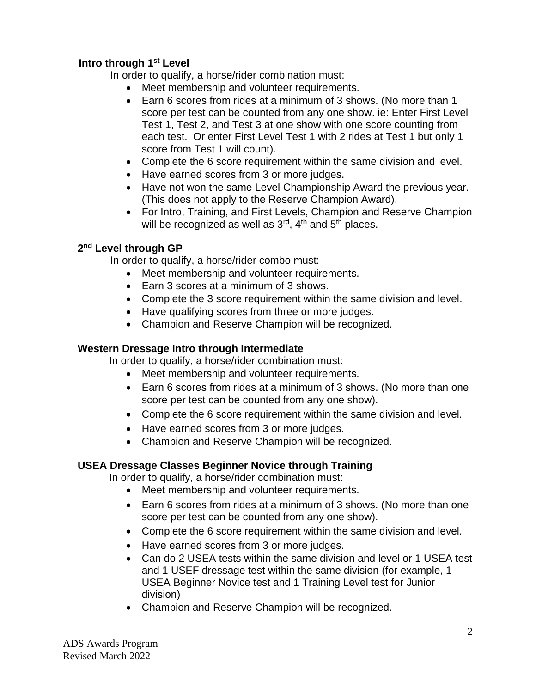### **Intro through 1 st Level**

In order to qualify, a horse/rider combination must:

- Meet membership and volunteer requirements.
- Earn 6 scores from rides at a minimum of 3 shows. (No more than 1 score per test can be counted from any one show. ie: Enter First Level Test 1, Test 2, and Test 3 at one show with one score counting from each test. Or enter First Level Test 1 with 2 rides at Test 1 but only 1 score from Test 1 will count).
- Complete the 6 score requirement within the same division and level.
- Have earned scores from 3 or more judges.
- Have not won the same Level Championship Award the previous year. (This does not apply to the Reserve Champion Award).
- For Intro, Training, and First Levels, Champion and Reserve Champion will be recognized as well as  $3<sup>rd</sup>$ ,  $4<sup>th</sup>$  and  $5<sup>th</sup>$  places.

#### **2 nd Level through GP**

In order to qualify, a horse/rider combo must:

- Meet membership and volunteer requirements.
- Earn 3 scores at a minimum of 3 shows.
- Complete the 3 score requirement within the same division and level.
- Have qualifying scores from three or more judges.
- Champion and Reserve Champion will be recognized.

#### **Western Dressage Intro through Intermediate**

In order to qualify, a horse/rider combination must:

- Meet membership and volunteer requirements.
- Earn 6 scores from rides at a minimum of 3 shows. (No more than one score per test can be counted from any one show).
- Complete the 6 score requirement within the same division and level.
- Have earned scores from 3 or more judges.
- Champion and Reserve Champion will be recognized.

#### **USEA Dressage Classes Beginner Novice through Training**

In order to qualify, a horse/rider combination must:

- Meet membership and volunteer requirements.
- Earn 6 scores from rides at a minimum of 3 shows. (No more than one score per test can be counted from any one show).
- Complete the 6 score requirement within the same division and level.
- Have earned scores from 3 or more judges.
- Can do 2 USEA tests within the same division and level or 1 USEA test and 1 USEF dressage test within the same division (for example, 1 USEA Beginner Novice test and 1 Training Level test for Junior division)
- Champion and Reserve Champion will be recognized.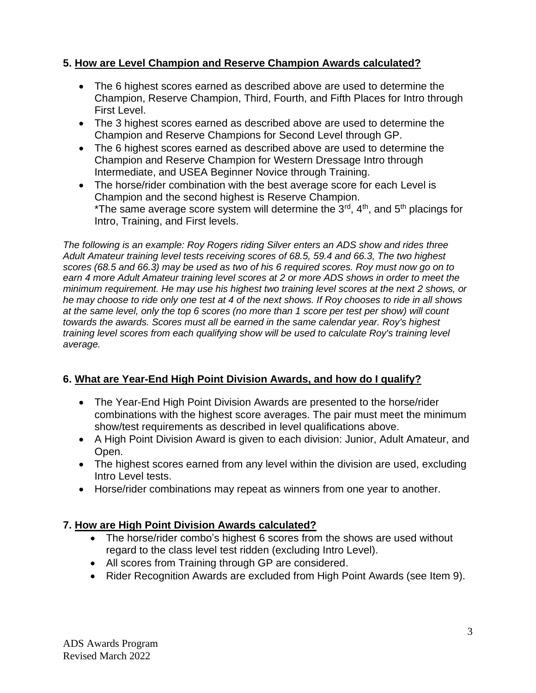## **5. How are Level Champion and Reserve Champion Awards calculated?**

- The 6 highest scores earned as described above are used to determine the Champion, Reserve Champion, Third, Fourth, and Fifth Places for Intro through First Level.
- The 3 highest scores earned as described above are used to determine the Champion and Reserve Champions for Second Level through GP.
- The 6 highest scores earned as described above are used to determine the Champion and Reserve Champion for Western Dressage Intro through Intermediate, and USEA Beginner Novice through Training.
- The horse/rider combination with the best average score for each Level is Champion and the second highest is Reserve Champion. \*The same average score system will determine the  $3^{rd}$ ,  $4^{th}$ , and  $5^{th}$  placings for Intro, Training, and First levels.

*The following is an example: Roy Rogers riding Silver enters an ADS show and rides three Adult Amateur training level tests receiving scores of 68.5, 59.4 and 66.3, The two highest scores (68.5 and 66.3) may be used as two of his 6 required scores. Roy must now go on to earn 4 more Adult Amateur training level scores at 2 or more ADS shows in order to meet the minimum requirement. He may use his highest two training level scores at the next 2 shows, or he may choose to ride only one test at 4 of the next shows. If Roy chooses to ride in all shows at the same level, only the top 6 scores (no more than 1 score per test per show) will count towards the awards. Scores must all be earned in the same calendar year. Roy's highest training level scores from each qualifying show will be used to calculate Roy's training level average.*

# **6. What are Year-End High Point Division Awards, and how do I qualify?**

- The Year-End High Point Division Awards are presented to the horse/rider combinations with the highest score averages. The pair must meet the minimum show/test requirements as described in level qualifications above.
- A High Point Division Award is given to each division: Junior, Adult Amateur, and Open.
- The highest scores earned from any level within the division are used, excluding Intro Level tests.
- Horse/rider combinations may repeat as winners from one year to another.

# **7. How are High Point Division Awards calculated?**

- The horse/rider combo's highest 6 scores from the shows are used without regard to the class level test ridden (excluding Intro Level).
- All scores from Training through GP are considered.
- Rider Recognition Awards are excluded from High Point Awards (see Item 9).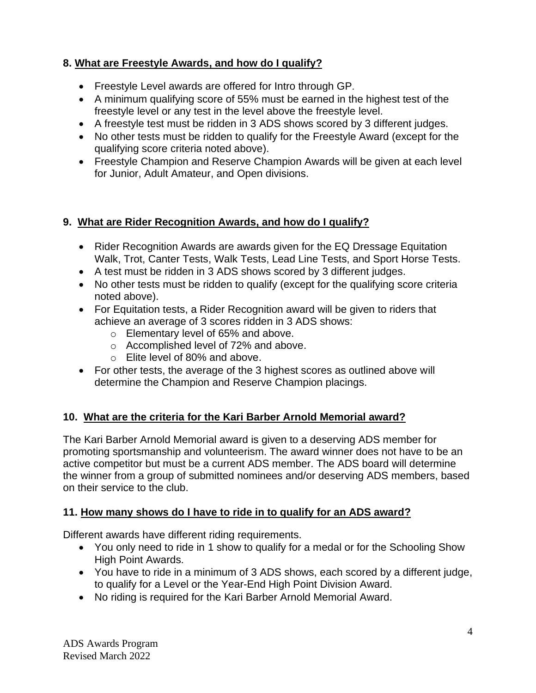# **8. What are Freestyle Awards, and how do I qualify?**

- Freestyle Level awards are offered for Intro through GP.
- A minimum qualifying score of 55% must be earned in the highest test of the freestyle level or any test in the level above the freestyle level.
- A freestyle test must be ridden in 3 ADS shows scored by 3 different judges.
- No other tests must be ridden to qualify for the Freestyle Award (except for the qualifying score criteria noted above).
- Freestyle Champion and Reserve Champion Awards will be given at each level for Junior, Adult Amateur, and Open divisions.

## **9. What are Rider Recognition Awards, and how do I qualify?**

- Rider Recognition Awards are awards given for the EQ Dressage Equitation Walk, Trot, Canter Tests, Walk Tests, Lead Line Tests, and Sport Horse Tests.
- A test must be ridden in 3 ADS shows scored by 3 different judges.
- No other tests must be ridden to qualify (except for the qualifying score criteria noted above).
- For Equitation tests, a Rider Recognition award will be given to riders that achieve an average of 3 scores ridden in 3 ADS shows:
	- o Elementary level of 65% and above.
	- o Accomplished level of 72% and above.
	- o Elite level of 80% and above.
- For other tests, the average of the 3 highest scores as outlined above will determine the Champion and Reserve Champion placings.

# **10. What are the criteria for the Kari Barber Arnold Memorial award?**

The Kari Barber Arnold Memorial award is given to a deserving ADS member for promoting sportsmanship and volunteerism. The award winner does not have to be an active competitor but must be a current ADS member. The ADS board will determine the winner from a group of submitted nominees and/or deserving ADS members, based on their service to the club.

# **11. How many shows do I have to ride in to qualify for an ADS award?**

Different awards have different riding requirements.

- You only need to ride in 1 show to qualify for a medal or for the Schooling Show High Point Awards.
- You have to ride in a minimum of 3 ADS shows, each scored by a different judge, to qualify for a Level or the Year-End High Point Division Award.
- No riding is required for the Kari Barber Arnold Memorial Award.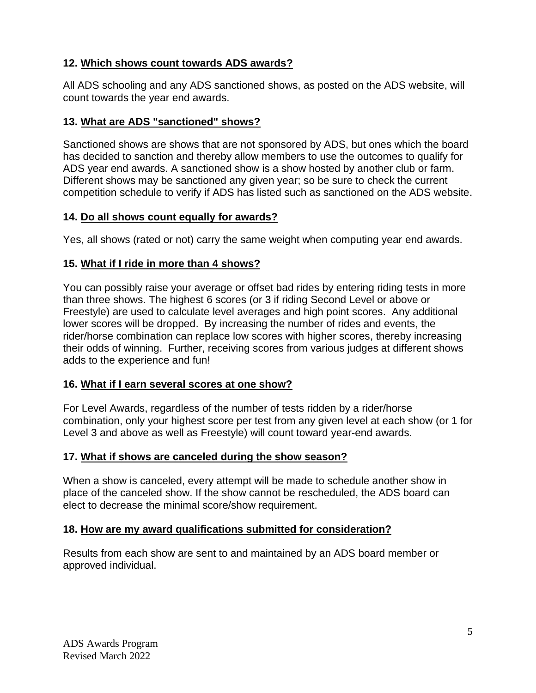### **12. Which shows count towards ADS awards?**

All ADS schooling and any ADS sanctioned shows, as posted on the ADS website, will count towards the year end awards.

### **13. What are ADS "sanctioned" shows?**

Sanctioned shows are shows that are not sponsored by ADS, but ones which the board has decided to sanction and thereby allow members to use the outcomes to qualify for ADS year end awards. A sanctioned show is a show hosted by another club or farm. Different shows may be sanctioned any given year; so be sure to check the current competition schedule to verify if ADS has listed such as sanctioned on the ADS website.

#### **14. Do all shows count equally for awards?**

Yes, all shows (rated or not) carry the same weight when computing year end awards.

# **15. What if I ride in more than 4 shows?**

You can possibly raise your average or offset bad rides by entering riding tests in more than three shows. The highest 6 scores (or 3 if riding Second Level or above or Freestyle) are used to calculate level averages and high point scores. Any additional lower scores will be dropped. By increasing the number of rides and events, the rider/horse combination can replace low scores with higher scores, thereby increasing their odds of winning. Further, receiving scores from various judges at different shows adds to the experience and fun!

# **16. What if I earn several scores at one show?**

For Level Awards, regardless of the number of tests ridden by a rider/horse combination, only your highest score per test from any given level at each show (or 1 for Level 3 and above as well as Freestyle) will count toward year-end awards.

# **17. What if shows are canceled during the show season?**

When a show is canceled, every attempt will be made to schedule another show in place of the canceled show. If the show cannot be rescheduled, the ADS board can elect to decrease the minimal score/show requirement.

# **18. How are my award qualifications submitted for consideration?**

Results from each show are sent to and maintained by an ADS board member or approved individual.